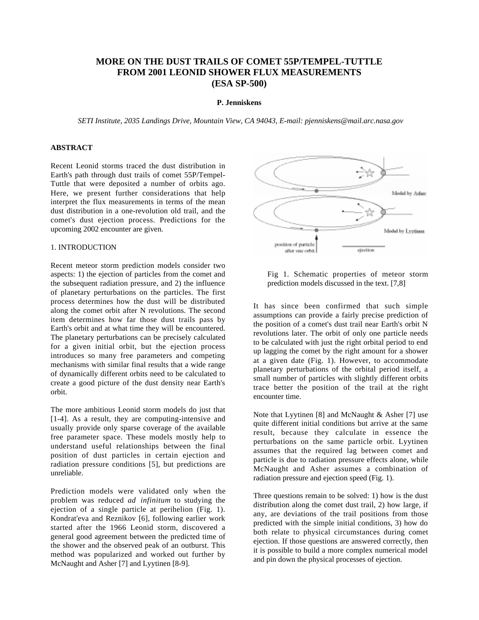# **MORE ON THE DUST TRAILS OF COMET 55P/TEMPEL-TUTTLE FROM 2001 LEONID SHOWER FLUX MEASUREMENTS (ESA SP-500)**

#### **P. Jenniskens**

*SETI Institute, 2035 Landings Drive, Mountain View, CA 94043, E-mail: pjenniskens@mail.arc.nasa.gov* 

### **ABSTRACT**

Recent Leonid storms traced the dust distribution in Earth's path through dust trails of comet 55P/Tempel-Tuttle that were deposited a number of orbits ago. Here, we present further considerations that help interpret the flux measurements in terms of the mean dust distribution in a one-revolution old trail, and the comet's dust ejection process. Predictions for the upcoming 2002 encounter are given.

### 1. INTRODUCTION

Recent meteor storm prediction models consider two aspects: 1) the ejection of particles from the comet and the subsequent radiation pressure, and 2) the influence of planetary perturbations on the particles. The first process determines how the dust will be distributed along the comet orbit after N revolutions. The second item determines how far those dust trails pass by Earth's orbit and at what time they will be encountered. The planetary perturbations can be precisely calculated for a given initial orbit, but the ejection process introduces so many free parameters and competing mechanisms with similar final results that a wide range of dynamically different orbits need to be calculated to create a good picture of the dust density near Earth's orbit.

The more ambitious Leonid storm models do just that [1-4]. As a result, they are computing-intensive and usually provide only sparse coverage of the available free parameter space. These models mostly help to understand useful relationships between the final position of dust particles in certain ejection and radiation pressure conditions [5], but predictions are unreliable.

Prediction models were validated only when the problem was reduced *ad infinitum* to studying the ejection of a single particle at perihelion (Fig. 1). Kondrat'eva and Reznikov [6], following earlier work started after the 1966 Leonid storm, discovered a general good agreement between the predicted time of the shower and the observed peak of an outburst. This method was popularized and worked out further by McNaught and Asher [7] and Lyytinen [8-9].



Fig 1. Schematic properties of meteor storm prediction models discussed in the text. [7,8]

It has since been confirmed that such simple assumptions can provide a fairly precise prediction of the position of a comet's dust trail near Earth's orbit N revolutions later. The orbit of only one particle needs to be calculated with just the right orbital period to end up lagging the comet by the right amount for a shower at a given date (Fig. 1). However, to accommodate planetary perturbations of the orbital period itself, a small number of particles with slightly different orbits trace better the position of the trail at the right encounter time.

Note that Lyytinen [8] and McNaught & Asher [7] use quite different initial conditions but arrive at the same result, because they calculate in essence the perturbations on the same particle orbit. Lyytinen assumes that the required lag between comet and particle is due to radiation pressure effects alone, while McNaught and Asher assumes a combination of radiation pressure and ejection speed (Fig. 1).

Three questions remain to be solved: 1) how is the dust distribution along the comet dust trail, 2) how large, if any, are deviations of the trail positions from those predicted with the simple initial conditions, 3) how do both relate to physical circumstances during comet ejection. If those questions are answered correctly, then it is possible to build a more complex numerical model and pin down the physical processes of ejection.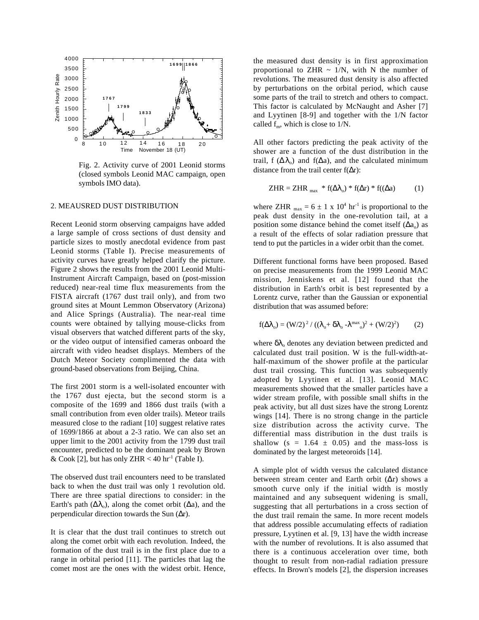

Fig. 2. Activity curve of 2001 Leonid storms (closed symbols Leonid MAC campaign, open symbols IMO data).

#### 2. MEAUSRED DUST DISTRIBUTION

Recent Leonid storm observing campaigns have added a large sample of cross sections of dust density and particle sizes to mostly anecdotal evidence from past Leonid storms (Table I). Precise measurements of activity curves have greatly helped clarify the picture. Figure 2 shows the results from the 2001 Leonid Multi-Instrument Aircraft Campaign, based on (post-mission reduced) near-real time flux measurements from the FISTA aircraft (1767 dust trail only), and from two ground sites at Mount Lemmon Observatory (Arizona) and Alice Springs (Australia). The near-real time counts were obtained by tallying mouse-clicks from visual observers that watched different parts of the sky, or the video output of intensified cameras onboard the aircraft with video headset displays. Members of the Dutch Meteor Society complimented the data with ground-based observations from Beijing, China.

The first 2001 storm is a well-isolated encounter with the 1767 dust ejecta, but the second storm is a composite of the 1699 and 1866 dust trails (with a small contribution from even older trails). Meteor trails measured close to the radiant [10] suggest relative rates of 1699/1866 at about a 2-3 ratio. We can also set an upper limit to the 2001 activity from the 1799 dust trail encounter, predicted to be the dominant peak by Brown & Cook [2], but has only ZHR < 40 hr<sup>-1</sup> (Table I).

The observed dust trail encounters need to be translated back to when the dust trail was only 1 revolution old. There are three spatial directions to consider: in the Earth's path  $(\Delta \lambda_0)$ , along the comet orbit  $(\Delta a)$ , and the perpendicular direction towards the Sun  $(\Delta r)$ .

It is clear that the dust trail continues to stretch out along the comet orbit with each revolution. Indeed, the formation of the dust trail is in the first place due to a range in orbital period [11]. The particles that lag the comet most are the ones with the widest orbit. Hence, the measured dust density is in first approximation proportional to ZHR  $\sim$  1/N, with N the number of revolutions. The measured dust density is also affected by perturbations on the orbital period, which cause some parts of the trail to stretch and others to compact. This factor is calculated by McNaught and Asher [7] and Lyytinen [8-9] and together with the 1/N factor called  $f_m$ , which is close to  $1/N$ .

All other factors predicting the peak activity of the shower are a function of the dust distribution in the trail, f  $(\Delta \lambda_0)$  and f( $\Delta a$ ), and the calculated minimum distance from the trail center  $f(\Delta r)$ :

$$
ZHR = ZHR_{max} * f(\Delta\lambda_o) * f(\Delta r) * f((\Delta a) \qquad (1)
$$

where ZHR  $_{\text{max}} = 6 \pm 1 \times 10^4 \text{ hr}^{-1}$  is proportional to the peak dust density in the one-revolution tail, at a position some distance behind the comet itself  $(\Delta a_0)$  as a result of the effects of solar radiation pressure that tend to put the particles in a wider orbit than the comet.

Different functional forms have been proposed. Based on precise measurements from the 1999 Leonid MAC mission, Jenniskens et al. [12] found that the distribution in Earth's orbit is best represented by a Lorentz curve, rather than the Gaussian or exponential distribution that was assumed before:

$$
f(\Delta\lambda_o) = (W/2)^2 / ((\lambda_o + \delta\lambda_o - \lambda^{max}{}_o)^2 + (W/2)^2)
$$
 (2)

where  $\delta\lambda_0$  denotes any deviation between predicted and calculated dust trail position. W is the full-width-athalf-maximum of the shower profile at the particular dust trail crossing. This function was subsequently adopted by Lyytinen et al. [13]. Leonid MAC measurements showed that the smaller particles have a wider stream profile, with possible small shifts in the peak activity, but all dust sizes have the strong Lorentz wings [14]. There is no strong change in the particle size distribution across the activity curve. The differential mass distribution in the dust trails is shallow ( $s = 1.64 \pm 0.05$ ) and the mass-loss is dominated by the largest meteoroids [14].

A simple plot of width versus the calculated distance between stream center and Earth orbit  $(Δr)$  shows a smooth curve only if the initial width is mostly maintained and any subsequent widening is small, suggesting that all perturbations in a cross section of the dust trail remain the same. In more recent models that address possible accumulating effects of radiation pressure, Lyytinen et al. [9, 13] have the width increase with the number of revolutions. It is also assumed that there is a continuous acceleration over time, both thought to result from non-radial radiation pressure effects. In Brown's models [2], the dispersion increases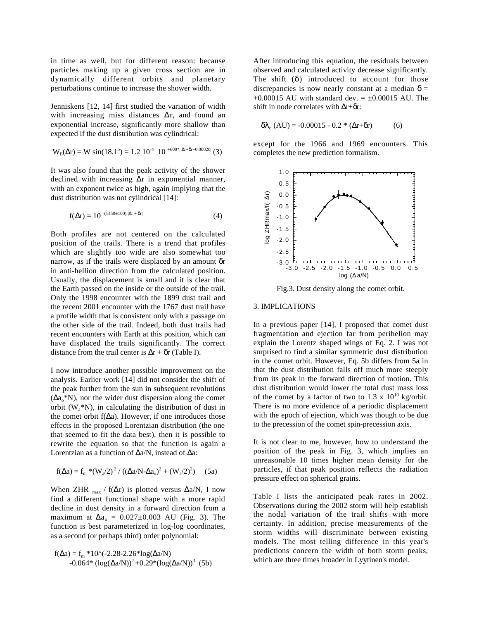in time as well, but for different reason: because particles making up a given cross section are in dynamically different orbits and planetary perturbations continue to increase the shower width.

Jenniskens [12, 14] first studied the variation of width with increasing miss distances  $\Delta r$ , and found an exponential increase, significantly more shallow than expected if the dust distribution was cylindrical:

$$
W_{E}(\Delta r) = W \sin(18.1^{\circ}) = 1.2 \ 10^{-4} \ 10^{-600* \ |\Delta r + \delta r + 0.00020|} (3)
$$

It was also found that the peak activity of the shower declined with increasing  $\Delta r$  in exponential manner, with an exponent twice as high, again implying that the dust distribution was not cylindrical [14]:

$$
f(\Delta r) = 10^{-(1450 \pm 100) |\Delta r + \delta r|} \tag{4}
$$

Both profiles are not centered on the calculated position of the trails. There is a trend that profiles which are slightly too wide are also somewhat too narrow, as if the trails were displaced by an amount δr in anti-hellion direction from the calculated position. Usually, the displacement is small and it is clear that the Earth passed on the inside or the outside of the trail. Only the 1998 encounter with the 1899 dust trail and the recent 2001 encounter with the 1767 dust trail have a profile width that is consistent only with a passage on the other side of the trail. Indeed, both dust trails had recent encounters with Earth at this position, which can have displaced the trails significantly. The correct distance from the trail center is  $\Delta r + \delta r$  (Table I).

I now introduce another possible improvement on the analysis. Earlier work [14] did not consider the shift of the peak further from the sun in subsequent revolutions  $(\Delta a_0^* N)$ , nor the wider dust dispersion along the comet orbit  $(W<sub>a</sub><sup>*</sup>N)$ , in calculating the distribution of dust in the comet orbit  $f(\Delta a)$ . However, if one introduces those effects in the proposed Lorentzian distribution (the one that seemed to fit the data best), then it is possible to rewrite the equation so that the function is again a Lorentzian as a function of  $\Delta a/N$ , instead of  $\Delta a$ :

$$
f(\Delta a) = f_m * (W_a/2)^2 / ((\Delta a/N - \Delta a_o)^2 + (W_a/2)^2)
$$
 (5a)

When ZHR  $_{\text{max}}$  / f( $\Delta$ r) is plotted versus  $\Delta$ a/N, I now find a different functional shape with a more rapid decline in dust density in a forward direction from a maximum at  $\Delta a_0 = 0.027 \pm 0.003$  AU (Fig. 3). The function is best parameterized in log-log coordinates, as a second (or perhaps third) order polynomial:

$$
f(\Delta a) = f_m * 10^{\circ}(-2.28-2.26 * log(\Delta a/N))
$$
  
-0.064\*  $(log(\Delta a/N))^2 + 0.29 * (log(\Delta a/N))^3$  (5b)

After introducing this equation, the residuals between observed and calculated activity decrease significantly. The shift  $(\delta)$  introduced to account for those discrepancies is now nearly constant at a median  $\delta$  =  $+0.00015$  AU with standard dev. =  $\pm 0.00015$  AU. The shift in node correlates with  $\Delta r + \delta r$ :

$$
\delta\lambda_{o} (AU) = -0.00015 - 0.2 * (\Delta r + \delta r) \tag{6}
$$

except for the 1966 and 1969 encounters. This completes the new prediction formalism.



Fig.3. Dust density along the comet orbit.

## 3. IMPLICATIONS

In a previous paper [14], I proposed that comet dust fragmentation and ejection far from perihelion may explain the Lorentz shaped wings of Eq. 2. I was not surprised to find a similar symmetric dust distribution in the comet orbit. However, Eq. 5b differs from 5a in that the dust distribution falls off much more steeply from its peak in the forward direction of motion. This dust distribution would lower the total dust mass loss of the comet by a factor of two to 1.3 x  $10^{10}$  kg/orbit. There is no more evidence of a periodic displacement with the epoch of ejection, which was though to be due to the precession of the comet spin-precession axis.  $\frac{2}{5}$  0.0 and  $\frac{1}{5}$  -0.5 and  $\frac{1}{5}$  -0.5 and  $\frac{1}{5}$  -1.6 and  $\frac{1}{5}$  -1.6  $\frac{1}{5}$  -1.6  $\frac{1}{5}$  -1.6  $\frac{1}{5}$  -1.6  $\frac{1}{5}$  -2.5  $\frac{1}{5}$  -1.6  $\frac{1}{5}$  -1.6  $\frac{1}{5}$  -1.6  $\frac{1}{5}$  -1.6  $\frac{1}{5}$ 

It is not clear to me, however, how to understand the position of the peak in Fig. 3, which implies an unreasonable 10 times higher mean density for the particles, if that peak position reflects the radiation pressure effect on spherical grains.

Table I lists the anticipated peak rates in 2002. Observations during the 2002 storm will help establish the nodal variation of the trail shifts with more certainty. In addition, precise measurements of the storm widths will discriminate between existing models. The most telling difference in this year's predictions concern the width of both storm peaks,